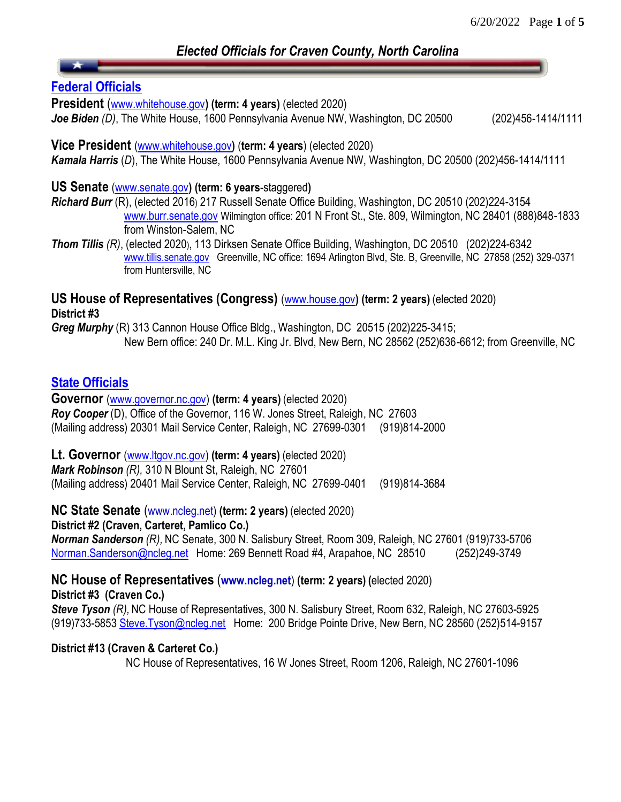# *Elected Officials for Craven County, North Carolina*

## **[Federal Officials](http://www.fec.gov/finance/disclosure/imaging_info.shtml)**

**President** ([www.whitehouse.gov](http://www.whitehouse.gov/)**) (term: 4 years)** (elected 2020)

*Joe Biden (D)*, The White House, 1600 Pennsylvania Avenue NW, Washington, DC 20500 (202)456-1414/1111

**Vice President** [\(www.whitehouse.gov](http://www.whitehouse.gov/)**)** (**term: 4 years**) (elected 2020) *Kamala Harris* (*D*), The White House, 1600 Pennsylvania Avenue NW, Washington, DC 20500 (202)456-1414/1111

#### **US Senate** [\(www.senate.gov](http://www.senate.gov/)**) (term: 6 years**-staggered**)**

*Richard Burr* (R), (elected 2016) 217 Russell Senate Office Building, Washington, DC 20510 (202)224-3154 [www.burr.senate.gov](http://www.burr.senate.gov/) Wilmington office: 201 N Front St., Ste. 809, Wilmington, NC 28401 (888)848-1833 from Winston-Salem, NC

*Thom Tillis (R)*, (elected 2020), 113 Dirksen Senate Office Building, Washington, DC 20510 (202)224-6342 [www.tillis.senate.gov](http://www.tillis.senate.gov/) Greenville, NC office: 1694 Arlington Blvd, Ste. B, Greenville, NC 27858 (252) 329-0371 from Huntersville, NC

#### **US House of Representatives (Congress)** [\(www.house.gov](http://www.house.gov/)**) (term: 2 years)** (elected 2020) **District #3**

*Greg Murphy* (R) 313 Cannon House Office Bldg., Washington, DC 20515 (202)225-3415; New Bern office: 240 Dr. M.L. King Jr. Blvd, New Bern, NC 28562 (252)636-6612; from Greenville, NC

## **[State Officials](http://www.sboe.state.nc.us/content.aspx?id=22)**

**Governor** [\(www.governor.nc.gov\)](http://www.governor.nc.gov/) **(term: 4 years)** (elected 2020) *Roy Cooper* (D), Office of the Governor, 116 W. Jones Street, Raleigh, NC 27603 (Mailing address) 20301 Mail Service Center, Raleigh, NC 27699-0301 (919)814-2000

**Lt. Governor** [\(www.ltgov.nc.gov\)](http://www.ltgov.nc.gov/) **(term: 4 years)** (elected 2020)

*Mark Robinson (R),* 310 N Blount St, Raleigh, NC 27601 (Mailing address) 20401 Mail Service Center, Raleigh, NC 27699-0401 (919)814-3684

**NC State Senate** (www.ncleg.net) **(term: 2 years)** (elected 2020)

**District #2 (Craven, Carteret, Pamlico Co.)**

*Norman Sanderson (R),* NC Senate, 300 N. Salisbury Street, Room 309, Raleigh, NC 27601 (919)733-5706 [Norman.Sanderson@ncleg.net](mailto:Norman.Sanderson@ncleg.net) Home: 269 Bennett Road #4, Arapahoe, NC 28510 (252)249-3749

**NC House of Representatives** (**www.ncleg.net**) **(term: 2 years) (**elected 2020)

**District #3 (Craven Co.)**

*Steve Tyson (R),* NC House of Representatives, 300 N. Salisbury Street, Room 632, Raleigh, NC 27603-5925 (919)733-585[3 Steve.Tyson@ncleg.net](mailto:Steve.Tyson@ncleg.net) Home: 200 Bridge Pointe Drive, New Bern, NC 28560 (252)514-9157

### **District #13 (Craven & Carteret Co.)**

NC House of Representatives, 16 W Jones Street, Room 1206, Raleigh, NC 27601-1096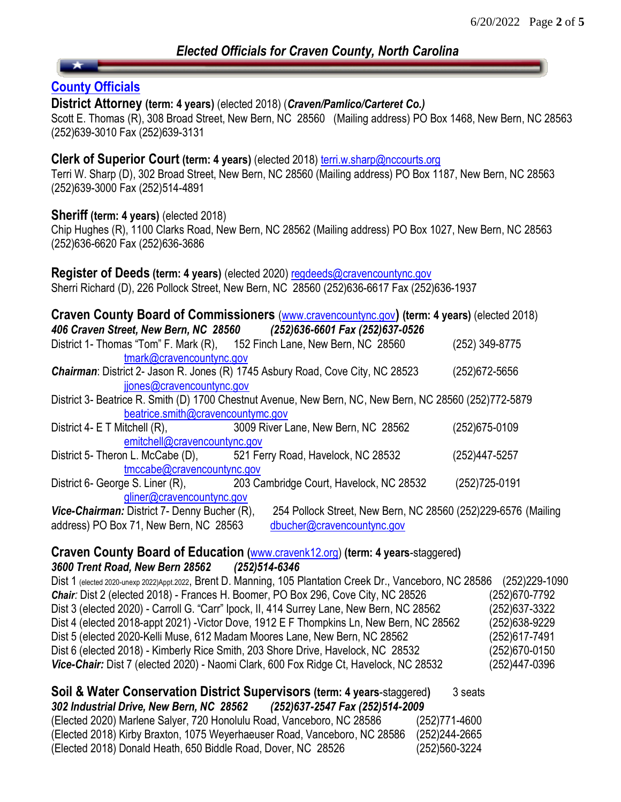## **[County Officials](http://www.cravencountync.gov/departments/elc/campaignfinance/craven.cfm)**

**District Attorney (term: 4 years)** (elected 2018) (*Craven/Pamlico/Carteret Co.)*

Scott E. Thomas (R), 308 Broad Street, New Bern, NC 28560 (Mailing address) PO Box 1468, New Bern, NC 28563 (252)639-3010 Fax (252)639-3131

#### **Clerk of Superior Court (term: 4 years)** (elected 2018) [terri.w.sharp@nccourts.org](mailto:terri.w.sharp@nccourts.org)

Terri W. Sharp (D), 302 Broad Street, New Bern, NC 28560 (Mailing address) PO Box 1187, New Bern, NC 28563 (252)639-3000 Fax (252)514-4891

#### **Sheriff (term: 4 years)** (elected 2018)

Chip Hughes (R), 1100 Clarks Road, New Bern, NC 28562 (Mailing address) PO Box 1027, New Bern, NC 28563 (252)636-6620 Fax (252)636-3686

**Register of Deeds (term: 4 years)** (elected 2020) [regdeeds@cravencountync.gov](mailto:regdeeds@cravencountync.gov) Sherri Richard (D), 226 Pollock Street, New Bern, NC 28560 (252)636-6617 Fax (252)636-1937

| Craven County Board of Commissioners (www.cravencountync.gov) (term: 4 years) (elected 2018)<br>406 Craven Street, New Bern, NC 28560 (252)636-6601 Fax (252)637-0526 |                                                                                       |                |  |  |
|-----------------------------------------------------------------------------------------------------------------------------------------------------------------------|---------------------------------------------------------------------------------------|----------------|--|--|
| District 1- Thomas "Tom" F. Mark (R), 152 Finch Lane, New Bern, NC 28560                                                                                              |                                                                                       | (252) 349-8775 |  |  |
| tmark@cravencountync.gov                                                                                                                                              |                                                                                       |                |  |  |
|                                                                                                                                                                       | <b>Chairman: District 2- Jason R. Jones (R) 1745 Asbury Road, Cove City, NC 28523</b> | (252) 672-5656 |  |  |
| jjones@cravencountync.gov                                                                                                                                             |                                                                                       |                |  |  |
| District 3- Beatrice R. Smith (D) 1700 Chestnut Avenue, New Bern, NC, New Bern, NC 28560 (252)772-5879                                                                |                                                                                       |                |  |  |
| beatrice.smith@cravencountymc.gov                                                                                                                                     |                                                                                       |                |  |  |
| District 4- $E T$ Mitchell $(R)$ ,                                                                                                                                    | 3009 River Lane, New Bern, NC 28562                                                   | (252) 675-0109 |  |  |
| emitchell@cravencountync.gov                                                                                                                                          |                                                                                       |                |  |  |
| District 5- Theron L. McCabe (D), 521 Ferry Road, Havelock, NC 28532                                                                                                  |                                                                                       | (252)447-5257  |  |  |
| tmccabe@cravencountync.gov                                                                                                                                            |                                                                                       |                |  |  |
| District 6- George S. Liner (R),                                                                                                                                      | 203 Cambridge Court, Havelock, NC 28532                                               | (252) 725-0191 |  |  |
| gliner@cravencountync.gov                                                                                                                                             |                                                                                       |                |  |  |
| Vice-Chairman: District 7- Denny Bucher (R),                                                                                                                          | 254 Pollock Street, New Bern, NC 28560 (252)229-6576 (Mailing                         |                |  |  |

address) PO Box 71, New Bern, NC 28563 [dbucher@cravencountync.gov](mailto:dbucher@cravencountync.gov)

### **Craven County Board of Education (**[www.cravenk12.org\)](http://www.cravenk12.org/) **(term: 4 years**-staggered**)** *3600 Trent Road, New Bern 28562 (252)514-6346*

Dist 1 (elected 2020-unexp 2022)Appt.2022, Brent D. Manning, 105 Plantation Creek Dr., Vanceboro, NC 28586 (252)229-1090 *Chair:* Dist 2 (elected 2018) - Frances H. Boomer, PO Box 296, Cove City, NC 28526 (252)670-7792 Dist 3 (elected 2020) - Carroll G. "Carr" Ipock, II, 414 Surrey Lane, New Bern, NC 28562 (252)637-3322 Dist 4 (elected 2018-appt 2021) -Victor Dove, 1912 E F Thompkins Ln, New Bern, NC 28562 (252)638-9229 Dist 5 (elected 2020-Kelli Muse, 612 Madam Moores Lane, New Bern, NC 28562 (252)617-7491 Dist 6 (elected 2018) - Kimberly Rice Smith, 203 Shore Drive, Havelock, NC 28532 (252)670-0150 *Vice-Chair:* Dist 7 (elected 2020) - Naomi Clark, 600 Fox Ridge Ct, Havelock, NC 28532 (252)447-0396

| Soil & Water Conservation District Supervisors (term: 4 years-staggered)    | 3 seats       |
|-----------------------------------------------------------------------------|---------------|
| 302 Industrial Drive, New Bern, NC 28562<br>(252)637-2547 Fax (252)514-2009 |               |
| (Elected 2020) Marlene Salyer, 720 Honolulu Road, Vanceboro, NC 28586       | (252)771-4600 |
| (Elected 2018) Kirby Braxton, 1075 Weyerhaeuser Road, Vanceboro, NC 28586   | (252)244-2665 |
| (Elected 2018) Donald Heath, 650 Biddle Road, Dover, NC 28526               | (252)560-3224 |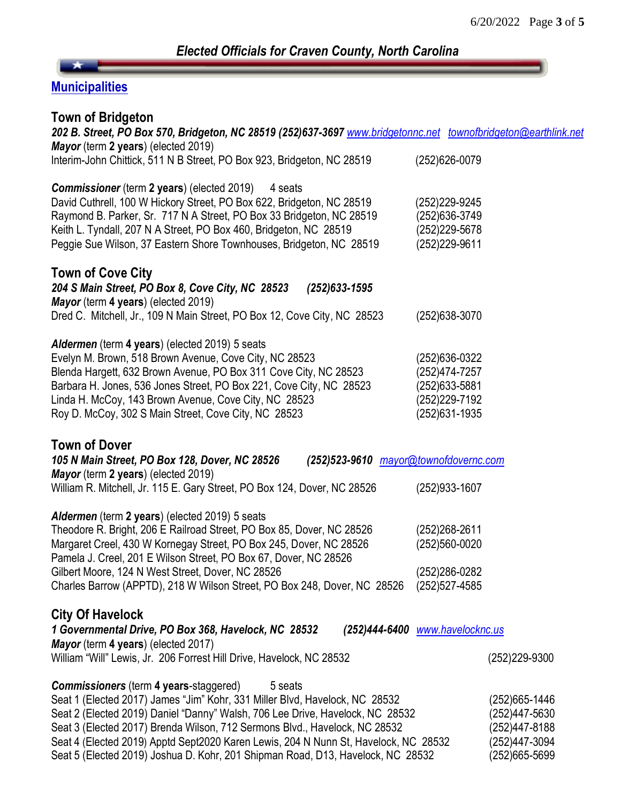# **Municipalities**

| <b>Town of Bridgeton</b><br>202 B. Street, PO Box 570, Bridgeton, NC 28519 (252)637-3697 www.bridgetonnc.net townofbridgeton@earthlink.net             |                                 |                 |
|--------------------------------------------------------------------------------------------------------------------------------------------------------|---------------------------------|-----------------|
| Mayor (term 2 years) (elected 2019)<br>Interim-John Chittick, 511 N B Street, PO Box 923, Bridgeton, NC 28519                                          | (252) 626-0079                  |                 |
|                                                                                                                                                        |                                 |                 |
| <b>Commissioner</b> (term 2 years) (elected 2019)<br>4 seats                                                                                           |                                 |                 |
| David Cuthrell, 100 W Hickory Street, PO Box 622, Bridgeton, NC 28519                                                                                  | (252) 229-9245                  |                 |
| Raymond B. Parker, Sr. 717 N A Street, PO Box 33 Bridgeton, NC 28519                                                                                   | (252)636-3749                   |                 |
| Keith L. Tyndall, 207 N A Street, PO Box 460, Bridgeton, NC 28519                                                                                      | (252) 229-5678                  |                 |
| Peggie Sue Wilson, 37 Eastern Shore Townhouses, Bridgeton, NC 28519                                                                                    | (252)229-9611                   |                 |
| <b>Town of Cove City</b>                                                                                                                               |                                 |                 |
| 204 S Main Street, PO Box 8, Cove City, NC 28523<br>$(252)633 - 1595$                                                                                  |                                 |                 |
| Mayor (term 4 years) (elected 2019)<br>Dred C. Mitchell, Jr., 109 N Main Street, PO Box 12, Cove City, NC 28523                                        | (252) 638-3070                  |                 |
|                                                                                                                                                        |                                 |                 |
| Aldermen (term 4 years) (elected 2019) 5 seats                                                                                                         |                                 |                 |
| Evelyn M. Brown, 518 Brown Avenue, Cove City, NC 28523                                                                                                 | (252) 636-0322                  |                 |
| Blenda Hargett, 632 Brown Avenue, PO Box 311 Cove City, NC 28523                                                                                       | (252)474-7257                   |                 |
| Barbara H. Jones, 536 Jones Street, PO Box 221, Cove City, NC 28523                                                                                    | (252)633-5881                   |                 |
| Linda H. McCoy, 143 Brown Avenue, Cove City, NC 28523                                                                                                  | (252) 229 - 7192                |                 |
| Roy D. McCoy, 302 S Main Street, Cove City, NC 28523                                                                                                   | (252)631-1935                   |                 |
| <b>Town of Dover</b><br>105 N Main Street, PO Box 128, Dover, NC 28526<br>(252)523-9610 mayor@townofdovernc.com<br>Mayor (term 2 years) (elected 2019) |                                 |                 |
| William R. Mitchell, Jr. 115 E. Gary Street, PO Box 124, Dover, NC 28526                                                                               | (252) 933-1607                  |                 |
| Aldermen (term 2 years) (elected 2019) 5 seats                                                                                                         |                                 |                 |
| Theodore R. Bright, 206 E Railroad Street, PO Box 85, Dover, NC 28526                                                                                  | (252) 268-2611                  |                 |
| Margaret Creel, 430 W Kornegay Street, PO Box 245, Dover, NC 28526                                                                                     | (252)560-0020                   |                 |
| Pamela J. Creel, 201 E Wilson Street, PO Box 67, Dover, NC 28526                                                                                       |                                 |                 |
| Gilbert Moore, 124 N West Street, Dover, NC 28526                                                                                                      | (252) 286-0282                  |                 |
| Charles Barrow (APPTD), 218 W Wilson Street, PO Box 248, Dover, NC 28526                                                                               | (252)527-4585                   |                 |
| <b>City Of Havelock</b>                                                                                                                                |                                 |                 |
| 1 Governmental Drive, PO Box 368, Havelock, NC 28532                                                                                                   | (252)444-6400 www.havelocknc.us |                 |
| Mayor (term 4 years) (elected 2017)                                                                                                                    |                                 |                 |
| William "Will" Lewis, Jr. 206 Forrest Hill Drive, Havelock, NC 28532                                                                                   |                                 | $(252)229-9300$ |
| <b>Commissioners</b> (term 4 years-staggered)<br>5 seats                                                                                               |                                 |                 |
| Seat 1 (Elected 2017) James "Jim" Kohr, 331 Miller Blvd, Havelock, NC 28532                                                                            |                                 | (252) 665-1446  |
| Seat 2 (Elected 2019) Daniel "Danny" Walsh, 706 Lee Drive, Havelock, NC 28532                                                                          |                                 | (252)447-5630   |
| Seat 3 (Elected 2017) Brenda Wilson, 712 Sermons Blvd., Havelock, NC 28532                                                                             |                                 | (252)447-8188   |
| Seat 4 (Elected 2019) Apptd Sept2020 Karen Lewis, 204 N Nunn St, Havelock, NC 28532                                                                    |                                 | (252)447-3094   |
| Seat 5 (Elected 2019) Joshua D. Kohr, 201 Shipman Road, D13, Havelock, NC 28532                                                                        |                                 | (252)665-5699   |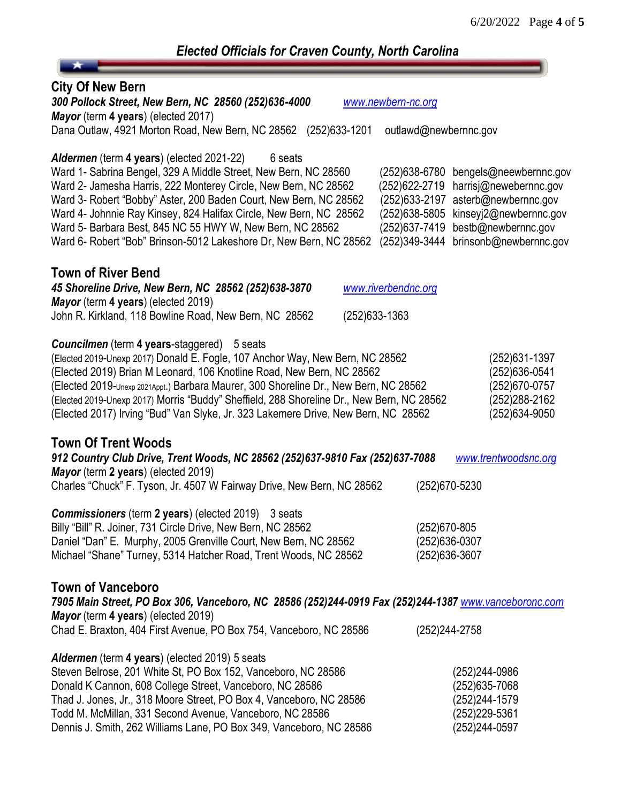| <b>Elected Officials for Craven County, North Carolina</b>                                                                                                                                                                                                                                                                                                                                                                                                                                |                                                                                                                                                                                                                                                              |  |  |  |
|-------------------------------------------------------------------------------------------------------------------------------------------------------------------------------------------------------------------------------------------------------------------------------------------------------------------------------------------------------------------------------------------------------------------------------------------------------------------------------------------|--------------------------------------------------------------------------------------------------------------------------------------------------------------------------------------------------------------------------------------------------------------|--|--|--|
|                                                                                                                                                                                                                                                                                                                                                                                                                                                                                           |                                                                                                                                                                                                                                                              |  |  |  |
| <b>City Of New Bern</b><br>300 Pollock Street, New Bern, NC 28560 (252)636-4000<br>Mayor (term 4 years) (elected 2017)<br>Dana Outlaw, 4921 Morton Road, New Bern, NC 28562 (252)633-1201                                                                                                                                                                                                                                                                                                 | www.newbern-nc.org<br>outlawd@newbernnc.gov                                                                                                                                                                                                                  |  |  |  |
| Aldermen (term 4 years) (elected 2021-22)<br>6 seats<br>Ward 1- Sabrina Bengel, 329 A Middle Street, New Bern, NC 28560<br>Ward 2- Jamesha Harris, 222 Monterey Circle, New Bern, NC 28562<br>Ward 3- Robert "Bobby" Aster, 200 Baden Court, New Bern, NC 28562<br>Ward 4- Johnnie Ray Kinsey, 824 Halifax Circle, New Bern, NC 28562<br>Ward 5- Barbara Best, 845 NC 55 HWY W, New Bern, NC 28562<br>Ward 6- Robert "Bob" Brinson-5012 Lakeshore Dr, New Bern, NC 28562                  | (252) 638-6780<br>bengels@neewbernnc.gov<br>(252) 622-2719<br>harrisj@newebernnc.gov<br>(252) 633-2197<br>asterb@newbernnc.gov<br>(252)638-5805<br>kinseyj2@newbernnc.gov<br>bestb@newbernnc.gov<br>(252)637-7419<br>(252)349-3444<br>brinsonb@newbernnc.gov |  |  |  |
| <b>Town of River Bend</b><br>45 Shoreline Drive, New Bern, NC 28562 (252)638-3870<br>www.riverbendnc.org<br>Mayor (term 4 years) (elected 2019)<br>John R. Kirkland, 118 Bowline Road, New Bern, NC 28562<br>(252)633-1363                                                                                                                                                                                                                                                                |                                                                                                                                                                                                                                                              |  |  |  |
| <b>Councilmen</b> (term 4 years-staggered)<br>5 seats<br>(Elected 2019-Unexp 2017) Donald E. Fogle, 107 Anchor Way, New Bern, NC 28562<br>(Elected 2019) Brian M Leonard, 106 Knotline Road, New Bern, NC 28562<br>(Elected 2019-Unexp 2021Appt.) Barbara Maurer, 300 Shoreline Dr., New Bern, NC 28562<br>(Elected 2019-Unexp 2017) Morris "Buddy" Sheffield, 288 Shoreline Dr., New Bern, NC 28562<br>(Elected 2017) Irving "Bud" Van Slyke, Jr. 323 Lakemere Drive, New Bern, NC 28562 | (252) 631-1397<br>(252) 636-0541<br>(252) 670-0757<br>(252) 288-2162<br>(252)634-9050                                                                                                                                                                        |  |  |  |
| <b>Town Of Trent Woods</b><br>912 Country Club Drive, Trent Woods, NC 28562 (252)637-9810 Fax (252)637-7088<br>Mayor (term 2 years) (elected 2019)<br>Charles "Chuck" F. Tyson, Jr. 4507 W Fairway Drive, New Bern, NC 28562                                                                                                                                                                                                                                                              | www.trentwoodsnc.org<br>(252)670-5230                                                                                                                                                                                                                        |  |  |  |
| <b>Commissioners</b> (term 2 years) (elected 2019) 3 seats<br>Billy "Bill" R. Joiner, 731 Circle Drive, New Bern, NC 28562<br>Daniel "Dan" E. Murphy, 2005 Grenville Court, New Bern, NC 28562<br>Michael "Shane" Turney, 5314 Hatcher Road, Trent Woods, NC 28562                                                                                                                                                                                                                        | (252)670-805<br>(252)636-0307<br>(252) 636-3607                                                                                                                                                                                                              |  |  |  |
| <b>Town of Vanceboro</b><br>7905 Main Street, PO Box 306, Vanceboro, NC 28586 (252)244-0919 Fax (252)244-1387 www.vanceboronc.com<br><b>Mayor</b> (term 4 years) (elected 2019)<br>Chad E. Braxton, 404 First Avenue, PO Box 754, Vanceboro, NC 28586                                                                                                                                                                                                                                     | (252) 244-2758                                                                                                                                                                                                                                               |  |  |  |
| <b>Aldermen</b> (term 4 years) (elected 2019) 5 seats<br>Steven Belrose, 201 White St, PO Box 152, Vanceboro, NC 28586<br>Donald K Cannon, 608 College Street, Vanceboro, NC 28586<br>Thad J. Jones, Jr., 318 Moore Street, PO Box 4, Vanceboro, NC 28586<br>Todd M. McMillan, 331 Second Avenue, Vanceboro, NC 28586<br>Dennis J. Smith, 262 Williams Lane, PO Box 349, Vanceboro, NC 28586                                                                                              | (252)244-0986<br>(252) 635-7068<br>(252)244-1579<br>(252)229-5361<br>(252)244-0597                                                                                                                                                                           |  |  |  |